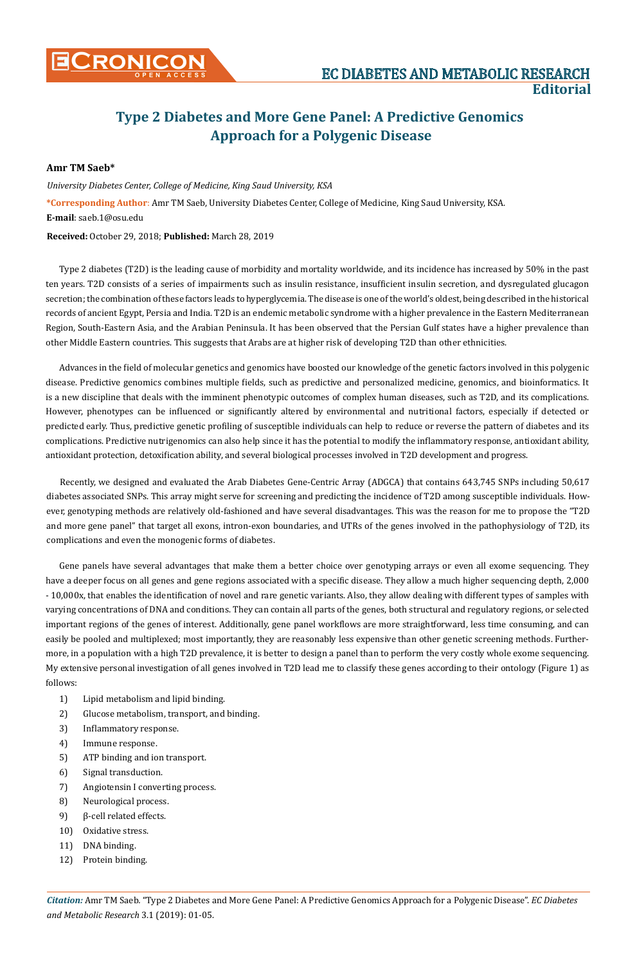## **Type 2 Diabetes and More Gene Panel: A Predictive Genomics Approach for a Polygenic Disease**

## **Amr TM Saeb\***

*University Diabetes Center, College of Medicine, King Saud University, KSA* **\*Corresponding Author**: Amr TM Saeb, University Diabetes Center, College of Medicine, King Saud University, KSA. **E-mail**: saeb.1@osu.edu

## **Received:** October 29, 2018; **Published:** March 28, 2019

Type 2 diabetes (T2D) is the leading cause of morbidity and mortality worldwide, and its incidence has increased by 50% in the past ten years. T2D consists of a series of impairments such as insulin resistance, insufficient insulin secretion, and dysregulated glucagon secretion; the combination of these factors leads to hyperglycemia. The disease is one of the world's oldest, being described in the historical records of ancient Egypt, Persia and India. T2D is an endemic metabolic syndrome with a higher prevalence in the Eastern Mediterranean Region, South-Eastern Asia, and the Arabian Peninsula. It has been observed that the Persian Gulf states have a higher prevalence than other Middle Eastern countries. This suggests that Arabs are at higher risk of developing T2D than other ethnicities.

Advances in the field of molecular genetics and genomics have boosted our knowledge of the genetic factors involved in this polygenic disease. Predictive genomics combines multiple fields, such as predictive and personalized medicine, genomics, and bioinformatics. It is a new discipline that deals with the imminent phenotypic outcomes of complex human diseases, such as T2D, and its complications. However, phenotypes can be influenced or significantly altered by environmental and nutritional factors, especially if detected or predicted early. Thus, predictive genetic profiling of susceptible individuals can help to reduce or reverse the pattern of diabetes and its complications. Predictive nutrigenomics can also help since it has the potential to modify the inflammatory response, antioxidant ability, antioxidant protection, detoxification ability, and several biological processes involved in T2D development and progress.

Recently, we designed and evaluated the Arab Diabetes Gene-Centric Array (ADGCA) that contains 643,745 SNPs including 50,617 diabetes associated SNPs. This array might serve for screening and predicting the incidence of T2D among susceptible individuals. However, genotyping methods are relatively old-fashioned and have several disadvantages. This was the reason for me to propose the "T2D and more gene panel" that target all exons, intron-exon boundaries, and UTRs of the genes involved in the pathophysiology of T2D, its complications and even the monogenic forms of diabetes.

Gene panels have several advantages that make them a better choice over genotyping arrays or even all exome sequencing. They have a deeper focus on all genes and gene regions associated with a specific disease. They allow a much higher sequencing depth, 2,000 - 10,000x, that enables the identification of novel and rare genetic variants. Also, they allow dealing with different types of samples with varying concentrations of DNA and conditions. They can contain all parts of the genes, both structural and regulatory regions, or selected important regions of the genes of interest. Additionally, gene panel workflows are more straightforward, less time consuming, and can easily be pooled and multiplexed; most importantly, they are reasonably less expensive than other genetic screening methods. Furthermore, in a population with a high T2D prevalence, it is better to design a panel than to perform the very costly whole exome sequencing. My extensive personal investigation of all genes involved in T2D lead me to classify these genes according to their ontology (Figure 1) as follows:

- 1) Lipid metabolism and lipid binding.
- 2) Glucose metabolism, transport, and binding.
- 3) Inflammatory response.
- 4) Immune response.
- 5) ATP binding and ion transport.
- 6) Signal transduction.
- 7) Angiotensin I converting process.
- 8) Neurological process.
- 9) β-cell related effects.
- 10) Oxidative stress.
- 11) DNA binding.
- 12) Protein binding.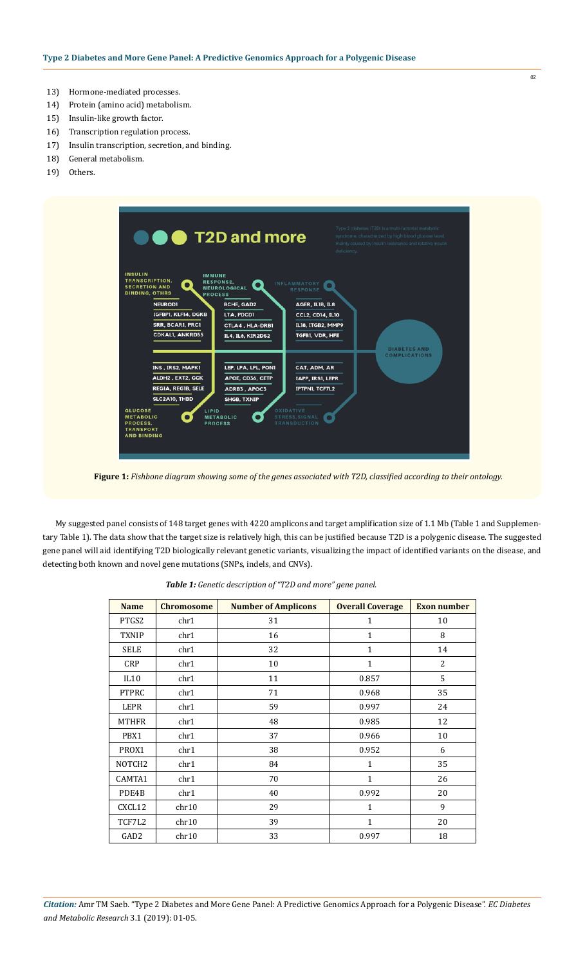- 13) Hormone-mediated processes.
- 14) Protein (amino acid) metabolism.
- 15) Insulin-like growth factor.
- 16) Transcription regulation process.
- 17) Insulin transcription, secretion, and binding.
- 18) General metabolism.
- 19) Others.



**Figure 1:** *Fishbone diagram showing some of the genes associated with T2D, classified according to their ontology.*

My suggested panel consists of 148 target genes with 4220 amplicons and target amplification size of 1.1 Mb (Table 1 and [Supplemen](https://www.ecronicon.com/ecdmr/Sup%20Table%201.xlsx)[tary Table](https://www.ecronicon.com/ecdmr/Sup%20Table%201.xlsx) 1). The data show that the target size is relatively high, this can be justified because T2D is a polygenic disease. The suggested gene panel will aid identifying T2D biologically relevant genetic variants, visualizing the impact of identified variants on the disease, and detecting both known and novel gene mutations (SNPs, indels, and CNVs).

| <b>Name</b>        | <b>Chromosome</b> | <b>Number of Amplicons</b> | <b>Overall Coverage</b> | <b>Exon number</b> |
|--------------------|-------------------|----------------------------|-------------------------|--------------------|
| PTGS2              | chr1              | 31                         | $\mathbf{1}$            | 10                 |
| <b>TXNIP</b>       | chr1              | 16                         | $\mathbf{1}$            | 8                  |
| <b>SELE</b>        | chr1              | 32                         | 1                       | 14                 |
| <b>CRP</b>         | chr1              | 10                         | $\mathbf{1}$            | $\overline{2}$     |
| IL10               | chr1              | 11                         | 0.857                   | 5                  |
| <b>PTPRC</b>       | chr1              | 71                         | 0.968                   | 35                 |
| LEPR               | chr1              | 59                         | 0.997                   | 24                 |
| <b>MTHFR</b>       | chr1              | 48                         | 0.985                   | 12                 |
| PBX1               | chr1              | 37                         | 0.966                   | 10                 |
| PROX1              | chr1              | 38                         | 0.952                   | 6                  |
| NOTCH <sub>2</sub> | chr1              | 84                         | $\mathbf{1}$            | 35                 |
| CAMTA1             | chr1              | 70                         | 1                       | 26                 |
| PDE4B              | chr1              | 40                         | 0.992                   | 20                 |
| CXCL12             | chr10             | 29                         | $\mathbf{1}$            | 9                  |
| TCF7L2             | chr10             | 39                         | $\mathbf{1}$            | 20                 |
| GAD <sub>2</sub>   | chr10             | 33                         | 0.997                   | 18                 |

*Table 1: Genetic description of "T2D and more" gene panel.*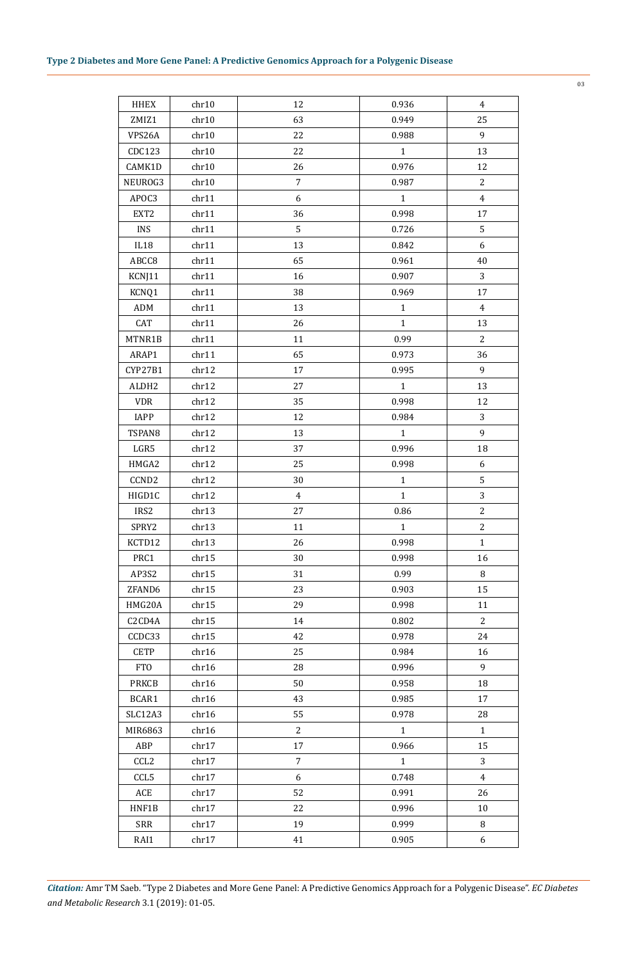| <b>HHEX</b>       | chr10 | 12             | 0.936        | $\overline{4}$ |
|-------------------|-------|----------------|--------------|----------------|
| ZMIZ1             | chr10 | 63             | 0.949        | 25             |
| VPS26A            | chr10 | 22             | 0.988        | 9              |
| CDC123            | chr10 | 22             | $\mathbf 1$  | 13             |
| CAMK1D            | chr10 | 26             | 0.976        | 12             |
| NEUROG3           | chr10 | $\overline{7}$ | 0.987        | 2              |
| APOC3             | chr11 | 6              | $\mathbf{1}$ | $\overline{4}$ |
| EXT2              | chr11 | 36             | 0.998        | 17             |
| <b>INS</b>        | chr11 | 5              | 0.726        | 5              |
| $_{\rm IL18}$     | chr11 | 13             | 0.842        | 6              |
| ABCC8             | chr11 | 65             | 0.961        | 40             |
| KCNJ11            | chr11 | 16             | 0.907        | 3              |
| KCNQ1             | chr11 | 38             | 0.969        | 17             |
| ADM               | chr11 | 13             | $\mathbf{1}$ | 4              |
| CAT               | chr11 | 26             | $\mathbf{1}$ | 13             |
| MTNR1B            | chr11 | 11             | 0.99         | $\overline{c}$ |
| ARAP1             | chr11 | 65             | 0.973        | 36             |
| CYP27B1           | chr12 | 17             | 0.995        | 9              |
| ALDH <sub>2</sub> | chr12 | 27             | $\mathbf{1}$ | 13             |
| <b>VDR</b>        | chr12 | 35             | 0.998        | 12             |
| IAPP              | chr12 | 12             | 0.984        | 3              |
|                   |       |                |              |                |
| TSPAN8            | chr12 | 13             | $\mathbf{1}$ | 9              |
| LGR5              | chr12 | 37             | 0.996        | 18             |
| HMGA2             | chr12 | 25             | 0.998        | 6              |
| CCND <sub>2</sub> | chr12 | 30             | $\mathbf{1}$ | 5              |
| HIGD1C            | chr12 | $\overline{4}$ | $\mathbf{1}$ | 3              |
| IRS2              | chr13 | 27             | 0.86         | 2              |
| SPRY2             | chr13 | 11             | $\mathbf{1}$ | 2              |
| KCTD12            | chr13 | 26             | 0.998        | $\mathbf{1}$   |
| PRC1              | chr15 | 30             | 0.998        | 16             |
| AP3S2             | chr15 | 31             | 0.99         | 8              |
| ZFAND6            | chr15 | 23             | 0.903        | 15             |
| HMG20A            | chr15 | 29             | 0.998        | 11             |
| C2CD4A            | chr15 | 14             | 0.802        | 2              |
| CCDC33            | chr15 | 42             | 0.978        | 24             |
| <b>CETP</b>       | chr16 | 25             | 0.984        | 16             |
| <b>FTO</b>        | chr16 | 28             | 0.996        | 9              |
| <b>PRKCB</b>      | chr16 | 50             | 0.958        | 18             |
| BCAR1             | chr16 | 43             | 0.985        | 17             |
| SLC12A3           | chr16 | 55             | 0.978        | 28             |
| MIR6863           | chr16 | 2              | $\mathbf{1}$ | $\mathbf{1}$   |
| ABP               | chr17 | 17             | 0.966        | 15             |
| CCL <sub>2</sub>  | chr17 | 7              | $\mathbf{1}$ | 3              |
| CCL5              | chr17 | 6              | 0.748        | 4              |
| ACE               | chr17 | 52             | 0.991        | 26             |
| HNF1B             | chr17 | 22             | 0.996        | 10             |
| SRR               | chr17 | 19             | 0.999        | 8              |
| RAI1              | chr17 | 41             | 0.905        | 6              |
|                   |       |                |              |                |

*Citation:* Amr TM Saeb*.* "Type 2 Diabetes and More Gene Panel: A Predictive Genomics Approach for a Polygenic Disease". *EC Diabetes and Metabolic Research* 3.1 (2019): 01-05.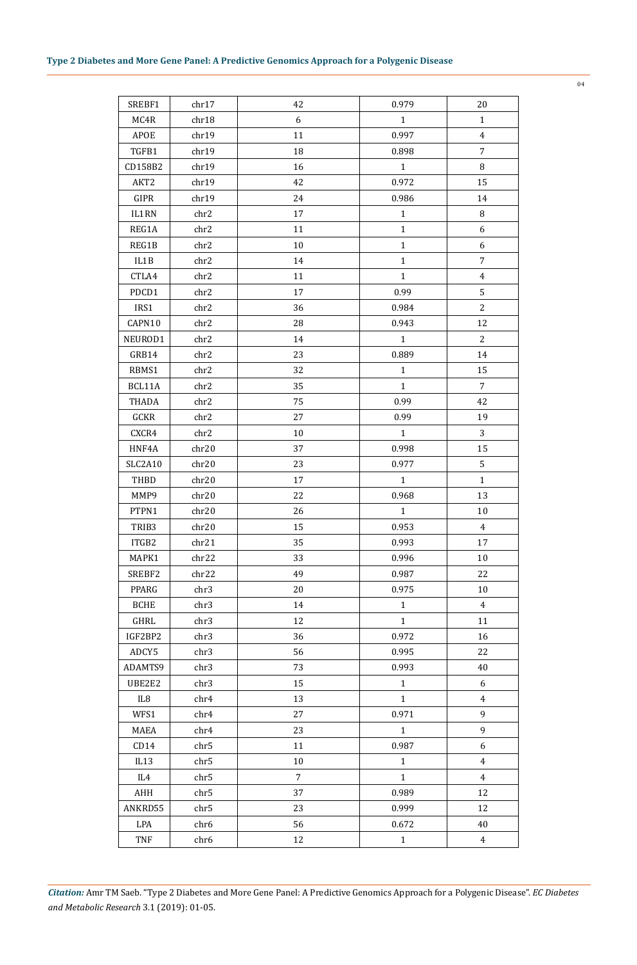| SREBF1      | chr17            | 42             | 0.979        | 20             |
|-------------|------------------|----------------|--------------|----------------|
| MC4R        | chr18            | 6              | $\mathbf{1}$ | $\mathbf{1}$   |
| APOE        | chr19            | 11             | 0.997        | 4              |
| TGFB1       | chr19            | 18             | 0.898        | $\overline{7}$ |
| CD158B2     | chr19            | 16             | 1            | 8              |
| AKT2        | chr19            | 42             | 0.972        | 15             |
| GIPR        | chr19            | 24             | 0.986        | 14             |
| IL1RN       | chr2             | 17             | $\mathbf{1}$ | 8              |
| REG1A       | chr2             | 11             | $\mathbf{1}$ | 6              |
| REG1B       | chr2             | 10             | $\mathbf{1}$ | 6              |
| IL1B        | chr2             | 14             | $\mathbf{1}$ | 7              |
| CTLA4       | chr2             | 11             | $\mathbf{1}$ | $\overline{4}$ |
| PDCD1       | chr2             | 17             | 0.99         | 5              |
| IRS1        | chr2             | 36             | 0.984        | $\overline{c}$ |
| CAPN10      | chr2             | 28             | 0.943        | 12             |
| NEUROD1     | chr2             | 14             | $\mathbf{1}$ | $\overline{c}$ |
| GRB14       | chr2             | 23             | 0.889        | 14             |
| RBMS1       | chr2             | 32             | $\mathbf{1}$ | 15             |
| BCL11A      | chr2             | 35             | $\mathbf{1}$ | 7              |
| THADA       | chr2             | 75             | 0.99         | 42             |
| GCKR        | chr2             | 27             | 0.99         | 19             |
| CXCR4       | chr2             | 10             | $\mathbf{1}$ | 3              |
| HNF4A       | chr20            | 37             | 0.998        | 15             |
| SLC2A10     | chr20            | 23             | 0.977        | 5              |
| THBD        | chr20            | 17             | 1            | 1              |
| MMP9        | chr20            | 22             | 0.968        | 13             |
| PTPN1       | chr20            | 26             | $\mathbf{1}$ | 10             |
| TRIB3       | chr20            | 15             | 0.953        | $\overline{4}$ |
| ITGB2       | chr21            | 35             | 0.993        | 17             |
| MAPK1       | chr22            | 33             | 0.996        | $10\,$         |
| SREBF2      | chr22            | 49             | 0.987        | 22             |
| PPARG       | chr3             | 20             | 0.975        | 10             |
| <b>BCHE</b> | chr3             | 14             | $\mathbf{1}$ | 4              |
| GHRL        | chr3             | 12             | $\mathbf{1}$ | 11             |
| IGF2BP2     | chr3             | 36             | 0.972        | 16             |
| ADCY5       | chr3             | 56             | 0.995        | 22             |
| ADAMTS9     | chr3             | 73             | 0.993        | 40             |
| UBE2E2      | chr3             | 15             | $\mathbf{1}$ | 6              |
| IL8         | chr4             | 13             | $\mathbf{1}$ | 4              |
| WFS1        | chr4             | 27             | 0.971        | 9              |
| MAEA        | chr4             | 23             | $\mathbf{1}$ | 9              |
| CD14        | chr5             | 11             | 0.987        | 6              |
| IL13        | chr5             | 10             | $\mathbf{1}$ | 4              |
| IL4         | chr5             | $\overline{7}$ | $\mathbf{1}$ | $\overline{4}$ |
| AHH         | chr5             | 37             | 0.989        | 12             |
| ANKRD55     | chr5             | 23             | 0.999        | 12             |
| LPA         | chr <sub>6</sub> | 56             | 0.672        | 40             |
| TNF         | chr <sub>6</sub> | 12             | $\mathbf 1$  | $\overline{4}$ |